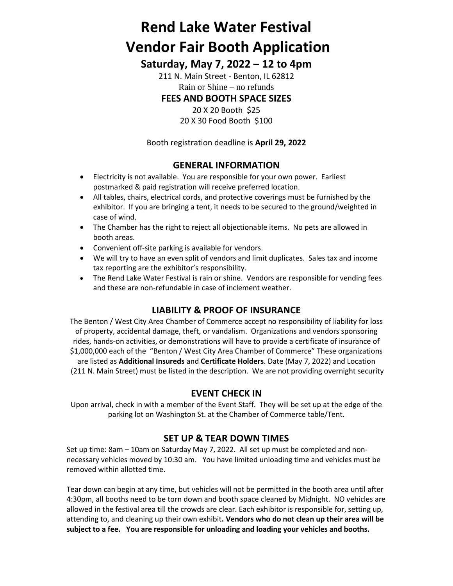# **Rend Lake Water Festival Vendor Fair Booth Application**

## **Saturday, May 7, 2022 – 12 to 4pm**

211 N. Main Street - Benton, IL 62812 Rain or Shine – no refunds

## **FEES AND BOOTH SPACE SIZES**

20 X 20 Booth \$25 20 X 30 Food Booth \$100

Booth registration deadline is **April 29, 2022**

### **GENERAL INFORMATION**

- Electricity is not available. You are responsible for your own power. Earliest postmarked & paid registration will receive preferred location.
- All tables, chairs, electrical cords, and protective coverings must be furnished by the exhibitor. If you are bringing a tent, it needs to be secured to the ground/weighted in case of wind.
- The Chamber has the right to reject all objectionable items. No pets are allowed in booth areas.
- Convenient off-site parking is available for vendors.
- We will try to have an even split of vendors and limit duplicates. Sales tax and income tax reporting are the exhibitor's responsibility.
- The Rend Lake Water Festival is rain or shine. Vendors are responsible for vending fees and these are non-refundable in case of inclement weather.

## **LIABILITY & PROOF OF INSURANCE**

The Benton / West City Area Chamber of Commerce accept no responsibility of liability for loss of property, accidental damage, theft, or vandalism. Organizations and vendors sponsoring rides, hands-on activities, or demonstrations will have to provide a certificate of insurance of \$1,000,000 each of the "Benton / West City Area Chamber of Commerce" These organizations are listed as **Additional Insureds** and **Certificate Holders**. Date (May 7, 2022) and Location (211 N. Main Street) must be listed in the description. We are not providing overnight security

## **EVENT CHECK IN**

Upon arrival, check in with a member of the Event Staff. They will be set up at the edge of the parking lot on Washington St. at the Chamber of Commerce table/Tent.

#### **SET UP & TEAR DOWN TIMES**

Set up time: 8am – 10am on Saturday May 7, 2022. All set up must be completed and nonnecessary vehicles moved by 10:30 am. You have limited unloading time and vehicles must be removed within allotted time.

Tear down can begin at any time, but vehicles will not be permitted in the booth area until after 4:30pm, all booths need to be torn down and booth space cleaned by Midnight. NO vehicles are allowed in the festival area till the crowds are clear. Each exhibitor is responsible for, setting up, attending to, and cleaning up their own exhibit**. Vendors who do not clean up their area will be subject to a fee. You are responsible for unloading and loading your vehicles and booths.**